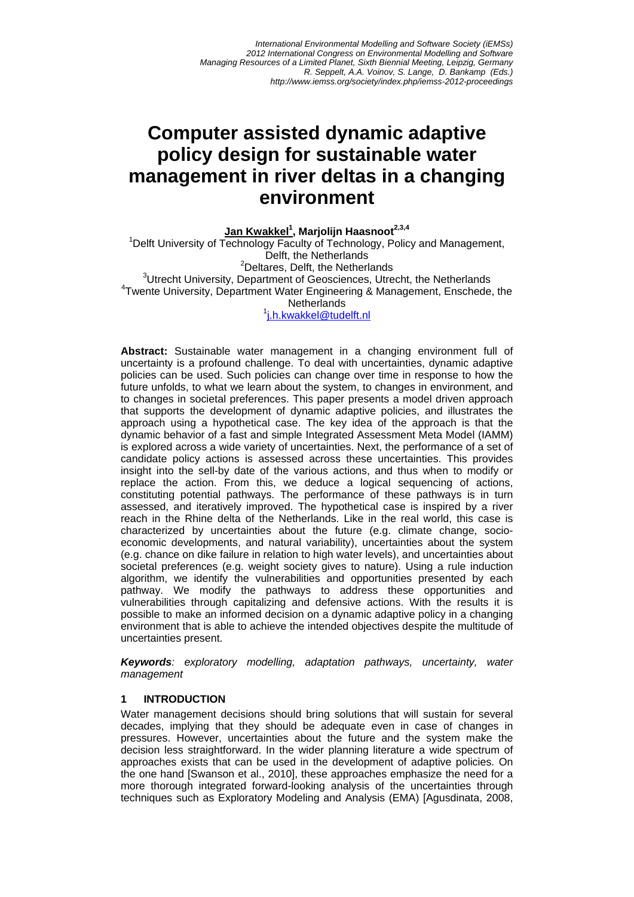# **Computer assisted dynamic adaptive policy design for sustainable water management in river deltas in a changing environment**

**Jan Kwakkel1 , Marjolijn Haasnoot2,3,4** <sup>1</sup> <sup>1</sup> Delft University of Technology Faculty of Technology, Policy and Management, Delft, the Netherlands <sup>2</sup>Deltares, Delft, the Netherlands <sup>3</sup>Utrecht University, Department of Geosciences, Utrecht, the Netherlands 4 Twente University, Department Water Engineering & Management, Enschede, the **Netherlands** 

1 j.h.kwakkel@tudelft.nl

**Abstract:** Sustainable water management in a changing environment full of uncertainty is a profound challenge. To deal with uncertainties, dynamic adaptive policies can be used. Such policies can change over time in response to how the future unfolds, to what we learn about the system, to changes in environment, and to changes in societal preferences. This paper presents a model driven approach that supports the development of dynamic adaptive policies, and illustrates the approach using a hypothetical case. The key idea of the approach is that the dynamic behavior of a fast and simple Integrated Assessment Meta Model (IAMM) is explored across a wide variety of uncertainties. Next, the performance of a set of candidate policy actions is assessed across these uncertainties. This provides insight into the sell-by date of the various actions, and thus when to modify or replace the action. From this, we deduce a logical sequencing of actions, constituting potential pathways. The performance of these pathways is in turn assessed, and iteratively improved. The hypothetical case is inspired by a river reach in the Rhine delta of the Netherlands. Like in the real world, this case is characterized by uncertainties about the future (e.g. climate change, socioeconomic developments, and natural variability), uncertainties about the system (e.g. chance on dike failure in relation to high water levels), and uncertainties about societal preferences (e.g. weight society gives to nature). Using a rule induction algorithm, we identify the vulnerabilities and opportunities presented by each pathway. We modify the pathways to address these opportunities and vulnerabilities through capitalizing and defensive actions. With the results it is possible to make an informed decision on a dynamic adaptive policy in a changing environment that is able to achieve the intended objectives despite the multitude of uncertainties present.

*Keywords: exploratory modelling, adaptation pathways, uncertainty, water management*

#### **1 INTRODUCTION**

Water management decisions should bring solutions that will sustain for several decades, implying that they should be adequate even in case of changes in pressures. However, uncertainties about the future and the system make the decision less straightforward. In the wider planning literature a wide spectrum of approaches exists that can be used in the development of adaptive policies. On the one hand [Swanson et al., 2010], these approaches emphasize the need for a more thorough integrated forward-looking analysis of the uncertainties through techniques such as Exploratory Modeling and Analysis (EMA) [Agusdinata, 2008,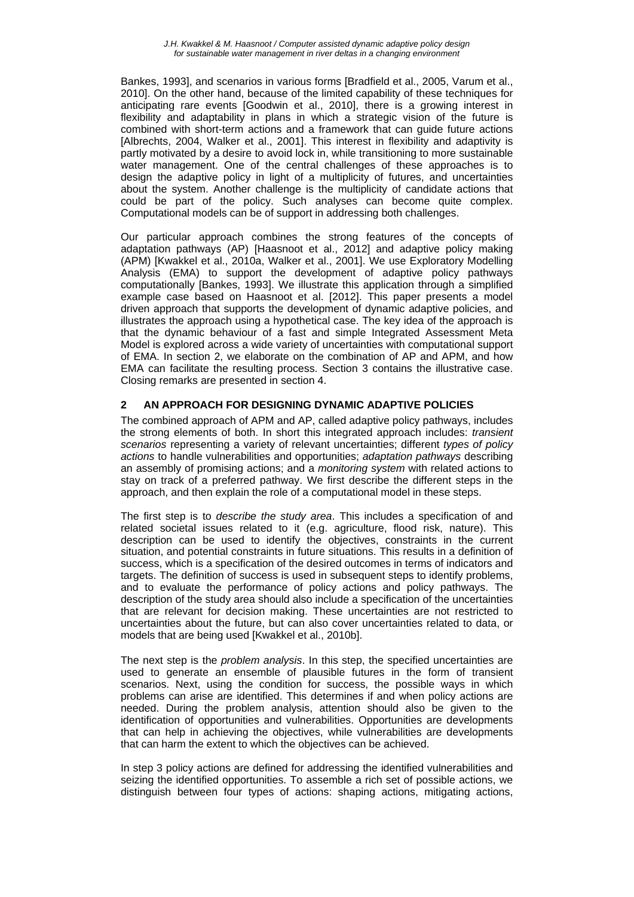Bankes, 1993], and scenarios in various forms [Bradfield et al., 2005, Varum et al., 2010]. On the other hand, because of the limited capability of these techniques for anticipating rare events [Goodwin et al., 2010], there is a growing interest in flexibility and adaptability in plans in which a strategic vision of the future is combined with short-term actions and a framework that can guide future actions [Albrechts, 2004, Walker et al., 2001]. This interest in flexibility and adaptivity is partly motivated by a desire to avoid lock in, while transitioning to more sustainable water management. One of the central challenges of these approaches is to design the adaptive policy in light of a multiplicity of futures, and uncertainties about the system. Another challenge is the multiplicity of candidate actions that could be part of the policy. Such analyses can become quite complex. Computational models can be of support in addressing both challenges.

Our particular approach combines the strong features of the concepts of adaptation pathways (AP) [Haasnoot et al., 2012] and adaptive policy making (APM) [Kwakkel et al., 2010a, Walker et al., 2001]. We use Exploratory Modelling Analysis (EMA) to support the development of adaptive policy pathways computationally [Bankes, 1993]. We illustrate this application through a simplified example case based on Haasnoot et al. [2012]. This paper presents a model driven approach that supports the development of dynamic adaptive policies, and illustrates the approach using a hypothetical case. The key idea of the approach is that the dynamic behaviour of a fast and simple Integrated Assessment Meta Model is explored across a wide variety of uncertainties with computational support of EMA. In section 2, we elaborate on the combination of AP and APM, and how EMA can facilitate the resulting process. Section 3 contains the illustrative case. Closing remarks are presented in section 4.

## **2 AN APPROACH FOR DESIGNING DYNAMIC ADAPTIVE POLICIES**

The combined approach of APM and AP, called adaptive policy pathways, includes the strong elements of both. In short this integrated approach includes: *transient scenarios* representing a variety of relevant uncertainties; different *types of policy actions* to handle vulnerabilities and opportunities; *adaptation pathways* describing an assembly of promising actions; and a *monitoring system* with related actions to stay on track of a preferred pathway. We first describe the different steps in the approach, and then explain the role of a computational model in these steps.

The first step is to *describe the study area*. This includes a specification of and related societal issues related to it (e.g. agriculture, flood risk, nature). This description can be used to identify the objectives, constraints in the current situation, and potential constraints in future situations. This results in a definition of success, which is a specification of the desired outcomes in terms of indicators and targets. The definition of success is used in subsequent steps to identify problems, and to evaluate the performance of policy actions and policy pathways. The description of the study area should also include a specification of the uncertainties that are relevant for decision making. These uncertainties are not restricted to uncertainties about the future, but can also cover uncertainties related to data, or models that are being used [Kwakkel et al., 2010b].

The next step is the *problem analysis*. In this step, the specified uncertainties are used to generate an ensemble of plausible futures in the form of transient scenarios. Next, using the condition for success, the possible ways in which problems can arise are identified. This determines if and when policy actions are needed. During the problem analysis, attention should also be given to the identification of opportunities and vulnerabilities. Opportunities are developments that can help in achieving the objectives, while vulnerabilities are developments that can harm the extent to which the objectives can be achieved.

In step 3 policy actions are defined for addressing the identified vulnerabilities and seizing the identified opportunities. To assemble a rich set of possible actions, we distinguish between four types of actions: shaping actions, mitigating actions,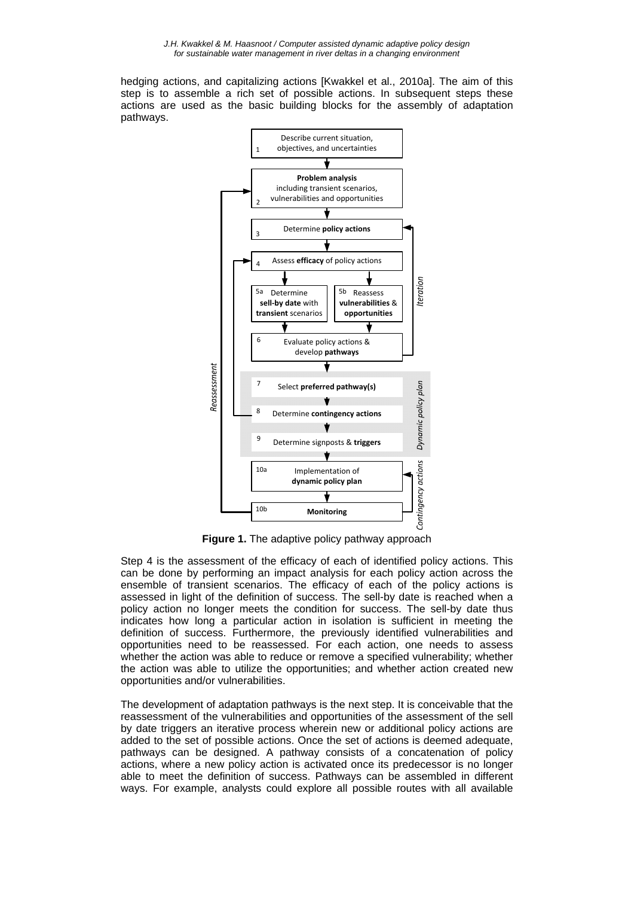hedging actions, and capitalizing actions [Kwakkel et al., 2010a]. The aim of this step is to assemble a rich set of possible actions. In subsequent steps these actions are used as the basic building blocks for the assembly of adaptation pathways.



**Figure 1.** The adaptive policy pathway approach

Step 4 is the assessment of the efficacy of each of identified policy actions. This can be done by performing an impact analysis for each policy action across the ensemble of transient scenarios. The efficacy of each of the policy actions is assessed in light of the definition of success. The sell-by date is reached when a policy action no longer meets the condition for success. The sell-by date thus indicates how long a particular action in isolation is sufficient in meeting the definition of success. Furthermore, the previously identified vulnerabilities and opportunities need to be reassessed. For each action, one needs to assess whether the action was able to reduce or remove a specified vulnerability; whether the action was able to utilize the opportunities; and whether action created new opportunities and/or vulnerabilities.

The development of adaptation pathways is the next step. It is conceivable that the reassessment of the vulnerabilities and opportunities of the assessment of the sell by date triggers an iterative process wherein new or additional policy actions are added to the set of possible actions. Once the set of actions is deemed adequate, pathways can be designed. A pathway consists of a concatenation of policy actions, where a new policy action is activated once its predecessor is no longer able to meet the definition of success. Pathways can be assembled in different ways. For example, analysts could explore all possible routes with all available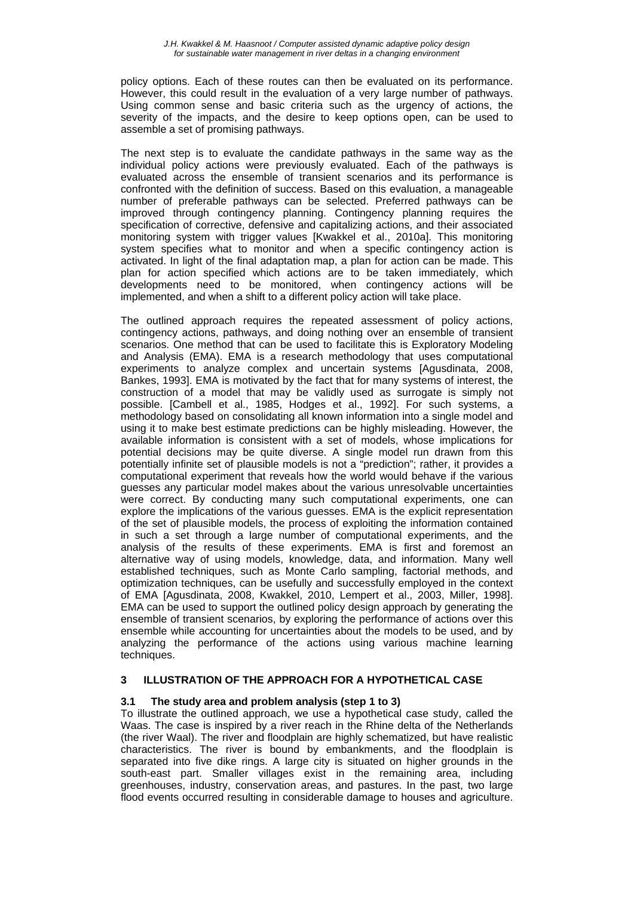policy options. Each of these routes can then be evaluated on its performance. However, this could result in the evaluation of a very large number of pathways. Using common sense and basic criteria such as the urgency of actions, the severity of the impacts, and the desire to keep options open, can be used to assemble a set of promising pathways.

The next step is to evaluate the candidate pathways in the same way as the individual policy actions were previously evaluated. Each of the pathways is evaluated across the ensemble of transient scenarios and its performance is confronted with the definition of success. Based on this evaluation, a manageable number of preferable pathways can be selected. Preferred pathways can be improved through contingency planning. Contingency planning requires the specification of corrective, defensive and capitalizing actions, and their associated monitoring system with trigger values [Kwakkel et al., 2010a]. This monitoring system specifies what to monitor and when a specific contingency action is activated. In light of the final adaptation map, a plan for action can be made. This plan for action specified which actions are to be taken immediately, which developments need to be monitored, when contingency actions will be implemented, and when a shift to a different policy action will take place.

The outlined approach requires the repeated assessment of policy actions, contingency actions, pathways, and doing nothing over an ensemble of transient scenarios. One method that can be used to facilitate this is Exploratory Modeling and Analysis (EMA). EMA is a research methodology that uses computational experiments to analyze complex and uncertain systems [Agusdinata, 2008, Bankes, 1993]. EMA is motivated by the fact that for many systems of interest, the construction of a model that may be validly used as surrogate is simply not possible. [Cambell et al., 1985, Hodges et al., 1992]. For such systems, a methodology based on consolidating all known information into a single model and using it to make best estimate predictions can be highly misleading. However, the available information is consistent with a set of models, whose implications for potential decisions may be quite diverse. A single model run drawn from this potentially infinite set of plausible models is not a "prediction"; rather, it provides a computational experiment that reveals how the world would behave if the various guesses any particular model makes about the various unresolvable uncertainties were correct. By conducting many such computational experiments, one can explore the implications of the various guesses. EMA is the explicit representation of the set of plausible models, the process of exploiting the information contained in such a set through a large number of computational experiments, and the analysis of the results of these experiments. EMA is first and foremost an alternative way of using models, knowledge, data, and information. Many well established techniques, such as Monte Carlo sampling, factorial methods, and optimization techniques, can be usefully and successfully employed in the context of EMA [Agusdinata, 2008, Kwakkel, 2010, Lempert et al., 2003, Miller, 1998]. EMA can be used to support the outlined policy design approach by generating the ensemble of transient scenarios, by exploring the performance of actions over this ensemble while accounting for uncertainties about the models to be used, and by analyzing the performance of the actions using various machine learning techniques.

## **3 ILLUSTRATION OF THE APPROACH FOR A HYPOTHETICAL CASE**

## **3.1 The study area and problem analysis (step 1 to 3)**

To illustrate the outlined approach, we use a hypothetical case study, called the Waas. The case is inspired by a river reach in the Rhine delta of the Netherlands (the river Waal). The river and floodplain are highly schematized, but have realistic characteristics. The river is bound by embankments, and the floodplain is separated into five dike rings. A large city is situated on higher grounds in the south-east part. Smaller villages exist in the remaining area, including greenhouses, industry, conservation areas, and pastures. In the past, two large flood events occurred resulting in considerable damage to houses and agriculture.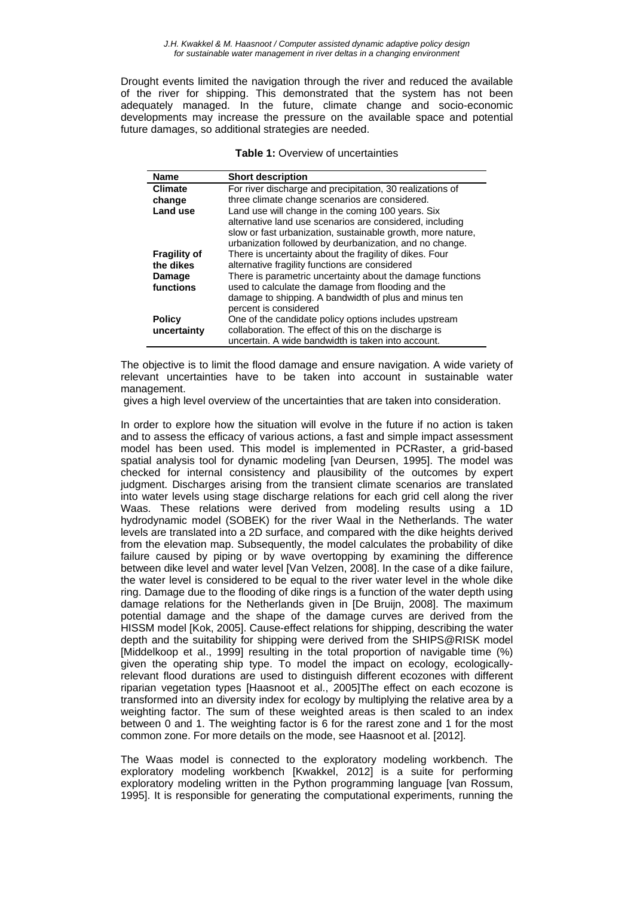Drought events limited the navigation through the river and reduced the available of the river for shipping. This demonstrated that the system has not been adequately managed. In the future, climate change and socio-economic developments may increase the pressure on the available space and potential future damages, so additional strategies are needed.

| <b>Table 1: Overview of uncertainties</b> |  |
|-------------------------------------------|--|
|-------------------------------------------|--|

| <b>Name</b>         | <b>Short description</b>                                                                                                                                                           |
|---------------------|------------------------------------------------------------------------------------------------------------------------------------------------------------------------------------|
| <b>Climate</b>      | For river discharge and precipitation, 30 realizations of                                                                                                                          |
| change              | three climate change scenarios are considered.                                                                                                                                     |
| Land use            | Land use will change in the coming 100 years. Six                                                                                                                                  |
|                     | alternative land use scenarios are considered, including<br>slow or fast urbanization, sustainable growth, more nature,<br>urbanization followed by deurbanization, and no change. |
| <b>Fragility of</b> | There is uncertainty about the fragility of dikes. Four                                                                                                                            |
| the dikes           | alternative fragility functions are considered                                                                                                                                     |
| Damage              | There is parametric uncertainty about the damage functions                                                                                                                         |
| functions           | used to calculate the damage from flooding and the                                                                                                                                 |
|                     | damage to shipping. A bandwidth of plus and minus ten                                                                                                                              |
|                     | percent is considered                                                                                                                                                              |
| <b>Policy</b>       | One of the candidate policy options includes upstream                                                                                                                              |
| uncertainty         | collaboration. The effect of this on the discharge is                                                                                                                              |
|                     | uncertain. A wide bandwidth is taken into account.                                                                                                                                 |

The objective is to limit the flood damage and ensure navigation. A wide variety of relevant uncertainties have to be taken into account in sustainable water management.

gives a high level overview of the uncertainties that are taken into consideration.

In order to explore how the situation will evolve in the future if no action is taken and to assess the efficacy of various actions, a fast and simple impact assessment model has been used. This model is implemented in PCRaster, a grid-based spatial analysis tool for dynamic modeling [van Deursen, 1995]. The model was checked for internal consistency and plausibility of the outcomes by expert judgment. Discharges arising from the transient climate scenarios are translated into water levels using stage discharge relations for each grid cell along the river Waas. These relations were derived from modeling results using a 1D hydrodynamic model (SOBEK) for the river Waal in the Netherlands. The water levels are translated into a 2D surface, and compared with the dike heights derived from the elevation map. Subsequently, the model calculates the probability of dike failure caused by piping or by wave overtopping by examining the difference between dike level and water level [Van Velzen, 2008]. In the case of a dike failure, the water level is considered to be equal to the river water level in the whole dike ring. Damage due to the flooding of dike rings is a function of the water depth using damage relations for the Netherlands given in [De Bruijn, 2008]. The maximum potential damage and the shape of the damage curves are derived from the HISSM model [Kok, 2005]. Cause-effect relations for shipping, describing the water depth and the suitability for shipping were derived from the SHIPS@RISK model [Middelkoop et al., 1999] resulting in the total proportion of navigable time (%) given the operating ship type. To model the impact on ecology, ecologicallyrelevant flood durations are used to distinguish different ecozones with different riparian vegetation types [Haasnoot et al., 2005]The effect on each ecozone is transformed into an diversity index for ecology by multiplying the relative area by a weighting factor. The sum of these weighted areas is then scaled to an index between 0 and 1. The weighting factor is 6 for the rarest zone and 1 for the most common zone. For more details on the mode, see Haasnoot et al. [2012].

The Waas model is connected to the exploratory modeling workbench. The exploratory modeling workbench [Kwakkel, 2012] is a suite for performing exploratory modeling written in the Python programming language [van Rossum, 1995]. It is responsible for generating the computational experiments, running the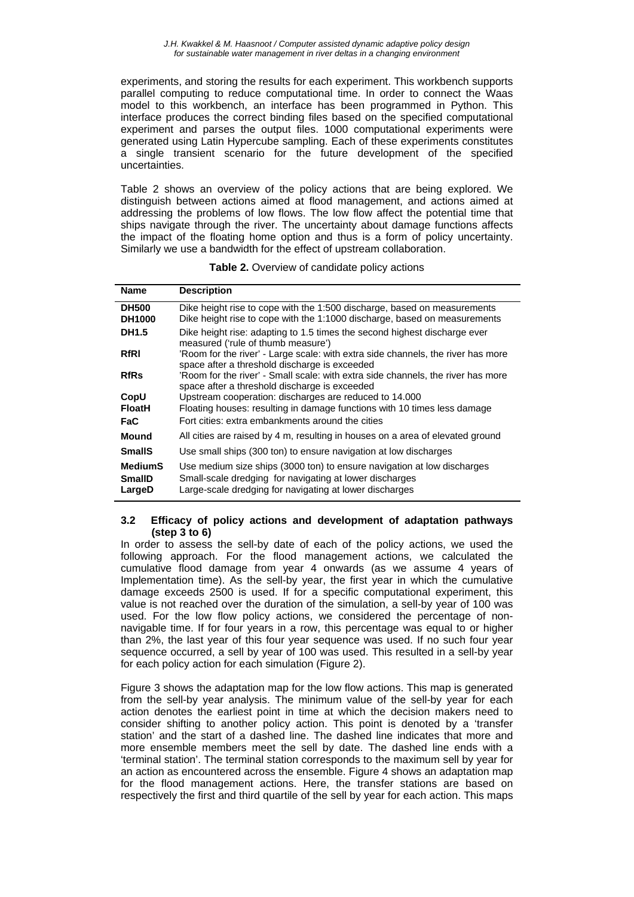*J.H. Kwakkel & M. Haasnoot / Computer assisted dynamic adaptive policy design for sustainable water management in river deltas in a changing environment* 

experiments, and storing the results for each experiment. This workbench supports parallel computing to reduce computational time. In order to connect the Waas model to this workbench, an interface has been programmed in Python. This interface produces the correct binding files based on the specified computational experiment and parses the output files. 1000 computational experiments were generated using Latin Hypercube sampling. Each of these experiments constitutes a single transient scenario for the future development of the specified uncertainties.

Table 2 shows an overview of the policy actions that are being explored. We distinguish between actions aimed at flood management, and actions aimed at addressing the problems of low flows. The low flow affect the potential time that ships navigate through the river. The uncertainty about damage functions affects the impact of the floating home option and thus is a form of policy uncertainty. Similarly we use a bandwidth for the effect of upstream collaboration.

| <b>Name</b>                               | <b>Description</b>                                                                                                                                                                            |
|-------------------------------------------|-----------------------------------------------------------------------------------------------------------------------------------------------------------------------------------------------|
| <b>DH500</b><br><b>DH1000</b>             | Dike height rise to cope with the 1:500 discharge, based on measurements<br>Dike height rise to cope with the 1:1000 discharge, based on measurements                                         |
| <b>DH1.5</b>                              | Dike height rise: adapting to 1.5 times the second highest discharge ever<br>measured ('rule of thumb measure')                                                                               |
| <b>RfRI</b>                               | 'Room for the river' - Large scale: with extra side channels, the river has more<br>space after a threshold discharge is exceeded                                                             |
| <b>RfRs</b>                               | 'Room for the river' - Small scale: with extra side channels, the river has more<br>space after a threshold discharge is exceeded                                                             |
| CopU                                      | Upstream cooperation: discharges are reduced to 14.000                                                                                                                                        |
| <b>FloatH</b>                             | Floating houses: resulting in damage functions with 10 times less damage                                                                                                                      |
| FaC                                       | Fort cities: extra embankments around the cities                                                                                                                                              |
| Mound                                     | All cities are raised by 4 m, resulting in houses on a area of elevated ground                                                                                                                |
| <b>SmallS</b>                             | Use small ships (300 ton) to ensure navigation at low discharges                                                                                                                              |
| <b>MediumS</b><br><b>SmallD</b><br>LargeD | Use medium size ships (3000 ton) to ensure navigation at low discharges<br>Small-scale dredging for navigating at lower discharges<br>Large-scale dredging for navigating at lower discharges |

**Table 2.** Overview of candidate policy actions

#### **3.2 Efficacy of policy actions and development of adaptation pathways (step 3 to 6)**

In order to assess the sell-by date of each of the policy actions, we used the following approach. For the flood management actions, we calculated the cumulative flood damage from year 4 onwards (as we assume 4 years of Implementation time). As the sell-by year, the first year in which the cumulative damage exceeds 2500 is used. If for a specific computational experiment, this value is not reached over the duration of the simulation, a sell-by year of 100 was used. For the low flow policy actions, we considered the percentage of nonnavigable time. If for four years in a row, this percentage was equal to or higher than 2%, the last year of this four year sequence was used. If no such four year sequence occurred, a sell by year of 100 was used. This resulted in a sell-by year for each policy action for each simulation (Figure 2).

Figure 3 shows the adaptation map for the low flow actions. This map is generated from the sell-by year analysis. The minimum value of the sell-by year for each action denotes the earliest point in time at which the decision makers need to consider shifting to another policy action. This point is denoted by a 'transfer station' and the start of a dashed line. The dashed line indicates that more and more ensemble members meet the sell by date. The dashed line ends with a 'terminal station'. The terminal station corresponds to the maximum sell by year for an action as encountered across the ensemble. Figure 4 shows an adaptation map for the flood management actions. Here, the transfer stations are based on respectively the first and third quartile of the sell by year for each action. This maps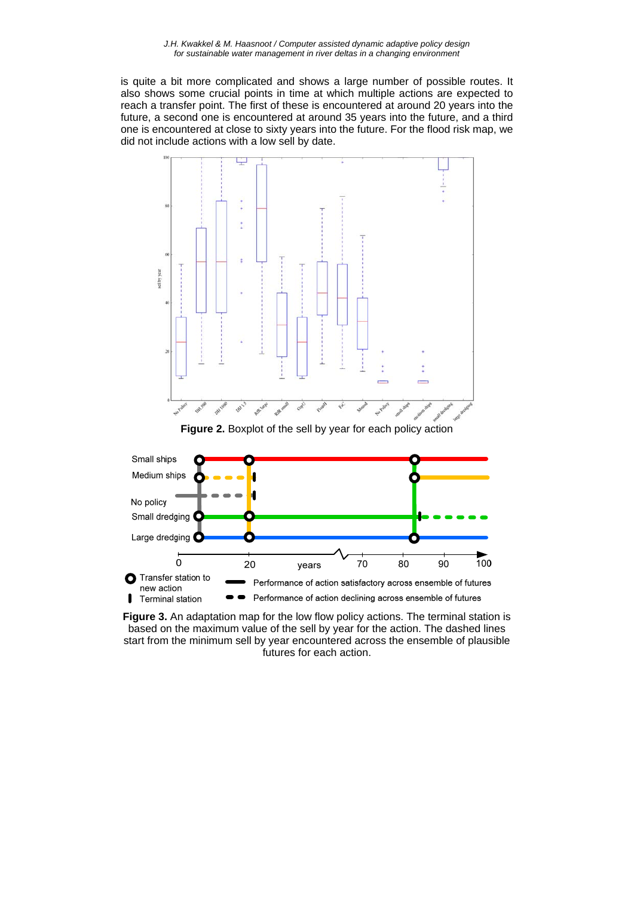is quite a bit more complicated and shows a large number of possible routes. It also shows some crucial points in time at which multiple actions are expected to reach a transfer point. The first of these is encountered at around 20 years into the future, a second one is encountered at around 35 years into the future, and a third one is encountered at close to sixty years into the future. For the flood risk map, we did not include actions with a low sell by date.



**Figure 3.** An adaptation map for the low flow policy actions. The terminal station is based on the maximum value of the sell by year for the action. The dashed lines start from the minimum sell by year encountered across the ensemble of plausible futures for each action.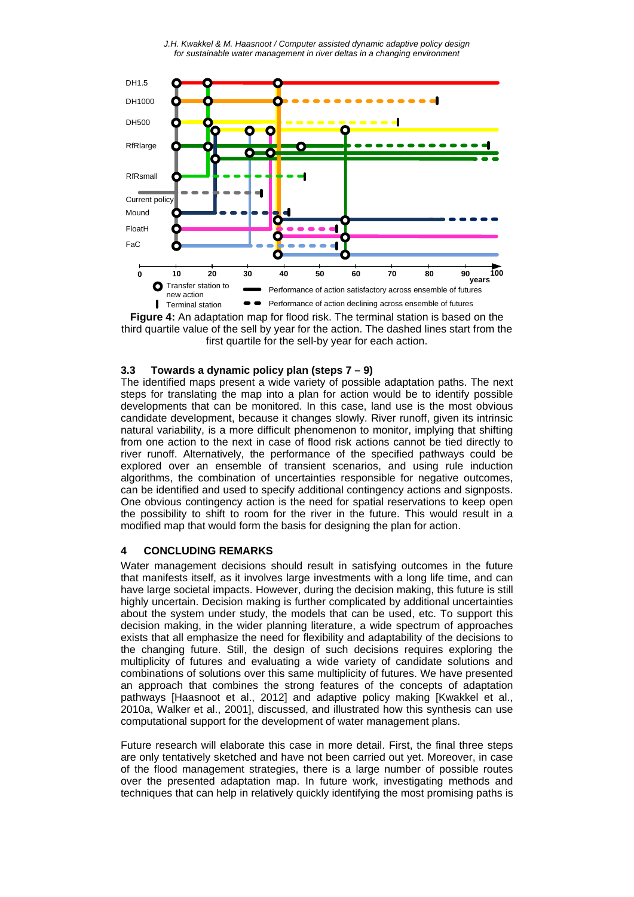*J.H. Kwakkel & M. Haasnoot / Computer assisted dynamic adaptive policy design for sustainable water management in river deltas in a changing environment* 



**Figure 4:** An adaptation map for flood risk. The terminal station is based on the third quartile value of the sell by year for the action. The dashed lines start from the first quartile for the sell-by year for each action.

## **3.3 Towards a dynamic policy plan (steps 7 – 9)**

The identified maps present a wide variety of possible adaptation paths. The next steps for translating the map into a plan for action would be to identify possible developments that can be monitored. In this case, land use is the most obvious candidate development, because it changes slowly. River runoff, given its intrinsic natural variability, is a more difficult phenomenon to monitor, implying that shifting from one action to the next in case of flood risk actions cannot be tied directly to river runoff. Alternatively, the performance of the specified pathways could be explored over an ensemble of transient scenarios, and using rule induction algorithms, the combination of uncertainties responsible for negative outcomes, can be identified and used to specify additional contingency actions and signposts. One obvious contingency action is the need for spatial reservations to keep open the possibility to shift to room for the river in the future. This would result in a modified map that would form the basis for designing the plan for action.

#### **4 CONCLUDING REMARKS**

Water management decisions should result in satisfying outcomes in the future that manifests itself, as it involves large investments with a long life time, and can have large societal impacts. However, during the decision making, this future is still highly uncertain. Decision making is further complicated by additional uncertainties about the system under study, the models that can be used, etc. To support this decision making, in the wider planning literature, a wide spectrum of approaches exists that all emphasize the need for flexibility and adaptability of the decisions to the changing future. Still, the design of such decisions requires exploring the multiplicity of futures and evaluating a wide variety of candidate solutions and combinations of solutions over this same multiplicity of futures. We have presented an approach that combines the strong features of the concepts of adaptation pathways [Haasnoot et al., 2012] and adaptive policy making [Kwakkel et al., 2010a, Walker et al., 2001], discussed, and illustrated how this synthesis can use computational support for the development of water management plans.

Future research will elaborate this case in more detail. First, the final three steps are only tentatively sketched and have not been carried out yet. Moreover, in case of the flood management strategies, there is a large number of possible routes over the presented adaptation map. In future work, investigating methods and techniques that can help in relatively quickly identifying the most promising paths is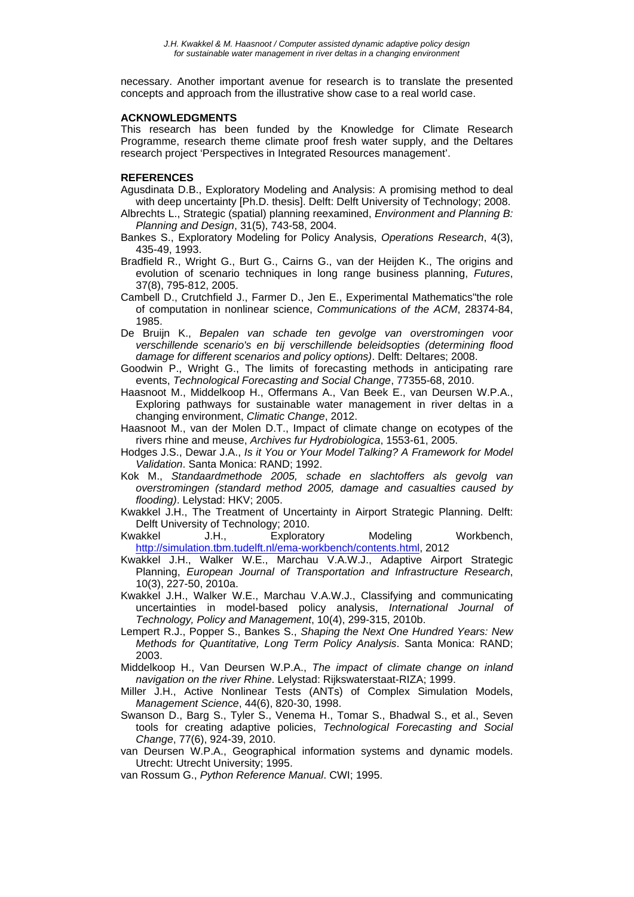necessary. Another important avenue for research is to translate the presented concepts and approach from the illustrative show case to a real world case.

#### **ACKNOWLEDGMENTS**

This research has been funded by the Knowledge for Climate Research Programme, research theme climate proof fresh water supply, and the Deltares research project 'Perspectives in Integrated Resources management'.

## **REFERENCES**

- Agusdinata D.B., Exploratory Modeling and Analysis: A promising method to deal with deep uncertainty [Ph.D. thesis]. Delft: Delft University of Technology; 2008.
- Albrechts L., Strategic (spatial) planning reexamined, *Environment and Planning B: Planning and Design*, 31(5), 743-58, 2004.
- Bankes S., Exploratory Modeling for Policy Analysis, *Operations Research*, 4(3), 435-49, 1993.
- Bradfield R., Wright G., Burt G., Cairns G., van der Heijden K., The origins and evolution of scenario techniques in long range business planning, *Futures*, 37(8), 795-812, 2005.
- Cambell D., Crutchfield J., Farmer D., Jen E., Experimental Mathematics"the role of computation in nonlinear science, *Communications of the ACM*, 28374-84, 1985.
- De Bruijn K., *Bepalen van schade ten gevolge van overstromingen voor verschillende scenario's en bij verschillende beleidsopties (determining flood damage for different scenarios and policy options)*. Delft: Deltares; 2008.
- Goodwin P., Wright G., The limits of forecasting methods in anticipating rare events, *Technological Forecasting and Social Change*, 77355-68, 2010.
- Haasnoot M., Middelkoop H., Offermans A., Van Beek E., van Deursen W.P.A., Exploring pathways for sustainable water management in river deltas in a changing environment, *Climatic Change*, 2012.
- Haasnoot M., van der Molen D.T., Impact of climate change on ecotypes of the rivers rhine and meuse, *Archives fur Hydrobiologica*, 1553-61, 2005.
- Hodges J.S., Dewar J.A., *Is it You or Your Model Talking? A Framework for Model Validation*. Santa Monica: RAND; 1992.
- Kok M., *Standaardmethode 2005, schade en slachtoffers als gevolg van overstromingen (standard method 2005, damage and casualties caused by flooding)*. Lelystad: HKV; 2005.
- Kwakkel J.H., The Treatment of Uncertainty in Airport Strategic Planning. Delft: Delft University of Technology; 2010.

Kwakkel J.H., Exploratory Modeling Workbench, http://simulation.tbm.tudelft.nl/ema-workbench/contents.html, 2012

- Kwakkel J.H., Walker W.E., Marchau V.A.W.J., Adaptive Airport Strategic Planning, *European Journal of Transportation and Infrastructure Research*, 10(3), 227-50, 2010a.
- Kwakkel J.H., Walker W.E., Marchau V.A.W.J., Classifying and communicating uncertainties in model-based policy analysis, *International Journal of Technology, Policy and Management*, 10(4), 299-315, 2010b.
- Lempert R.J., Popper S., Bankes S., *Shaping the Next One Hundred Years: New Methods for Quantitative, Long Term Policy Analysis*. Santa Monica: RAND; 2003.
- Middelkoop H., Van Deursen W.P.A., *The impact of climate change on inland navigation on the river Rhine*. Lelystad: Rijkswaterstaat-RIZA; 1999.
- Miller J.H., Active Nonlinear Tests (ANTs) of Complex Simulation Models, *Management Science*, 44(6), 820-30, 1998.
- Swanson D., Barg S., Tyler S., Venema H., Tomar S., Bhadwal S., et al., Seven tools for creating adaptive policies, *Technological Forecasting and Social Change*, 77(6), 924-39, 2010.
- van Deursen W.P.A., Geographical information systems and dynamic models. Utrecht: Utrecht University; 1995.
- van Rossum G., *Python Reference Manual*. CWI; 1995.